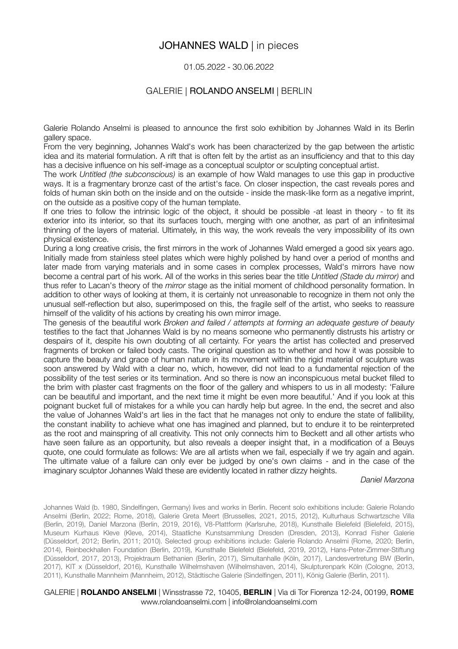# JOHANNES WALD | in pieces

### 01.05.2022 - 30.06.2022

### GALERIE | ROLANDO ANSELMI | BERLIN

Galerie Rolando Anselmi is pleased to announce the first solo exhibition by Johannes Wald in its Berlin gallery space.

From the very beginning, Johannes Wald's work has been characterized by the gap between the artistic idea and its material formulation. A rift that is often felt by the artist as an insufficiency and that to this day has a decisive influence on his self-image as a conceptual sculptor or sculpting conceptual artist.

The work *Untitled (the subconscious)* is an example of how Wald manages to use this gap in productive ways. It is a fragmentary bronze cast of the artist's face. On closer inspection, the cast reveals pores and folds of human skin both on the inside and on the outside - inside the mask-like form as a negative imprint, on the outside as a positive copy of the human template.

If one tries to follow the intrinsic logic of the object, it should be possible -at least in theory - to fit its exterior into its interior, so that its surfaces touch, merging with one another, as part of an infinitesimal thinning of the layers of material. Ultimately, in this way, the work reveals the very impossibility of its own physical existence.

During a long creative crisis, the first mirrors in the work of Johannes Wald emerged a good six years ago. Initially made from stainless steel plates which were highly polished by hand over a period of months and later made from varying materials and in some cases in complex processes, Wald's mirrors have now become a central part of his work. All of the works in this series bear the title *Untitled (Stade du mirror)* and thus refer to Lacan's theory of the *mirror* stage as the initial moment of childhood personality formation. In addition to other ways of looking at them, it is certainly not unreasonable to recognize in them not only the unusual self-reflection but also, superimposed on this, the fragile self of the artist, who seeks to reassure himself of the validity of his actions by creating his own mirror image.

The genesis of the beautiful work *Broken and failed / attempts at forming an adequate gesture of beauty*  testifies to the fact that Johannes Wald is by no means someone who permanently distrusts his artistry or despairs of it, despite his own doubting of all certainty. For years the artist has collected and preserved fragments of broken or failed body casts. The original question as to whether and how it was possible to capture the beauty and grace of human nature in its movement within the rigid material of sculpture was soon answered by Wald with a clear no, which, however, did not lead to a fundamental rejection of the possibility of the test series or its termination. And so there is now an inconspicuous metal bucket filled to the brim with plaster cast fragments on the floor of the gallery and whispers to us in all modesty: 'Failure can be beautiful and important, and the next time it might be even more beautiful.' And if you look at this poignant bucket full of mistakes for a while you can hardly help but agree. In the end, the secret and also the value of Johannes Wald's art lies in the fact that he manages not only to endure the state of fallibility, the constant inability to achieve what one has imagined and planned, but to endure it to be reinterpreted as the root and mainspring of all creativity. This not only connects him to Beckett and all other artists who have seen failure as an opportunity, but also reveals a deeper insight that, in a modification of a Beuys quote, one could formulate as follows: We are all artists when we fail, especially if we try again and again. The ultimate value of a failure can only ever be judged by one's own claims - and in the case of the imaginary sculptor Johannes Wald these are evidently located in rather dizzy heights.

*Daniel Marzona* 

Johannes Wald (b. 1980, Sindelfingen, Germany) lives and works in Berlin. Recent solo exhibitions include: Galerie Rolando Anselmi (Berlin, 2022; Rome, 2018), Galerie Greta Meert (Brusselles, 2021, 2015, 2012), Kulturhaus Schwartzsche Villa (Berlin, 2019), Daniel Marzona (Berlin, 2019, 2016), V8-Plattform (Karlsruhe, 2018), Kunsthalle Bielefeld (Bielefeld, 2015), Museum Kurhaus Kleve (Kleve, 2014), Staatliche Kunstsammlung Dresden (Dresden, 2013), Konrad Fisher Galerie (Düsseldorf, 2012; Berlin, 2011; 2010). Selected group exhibitions include: Galerie Rolando Anselmi (Rome, 2020; Berlin, 2014), Reinbeckhallen Foundation (Berlin, 2019), Kunsthalle Bielefeld (Bielefeld, 2019, 2012), Hans-Peter-Zimmer-Stiftung (Düsseldorf, 2017, 2013), Projektraum Bethanien (Berlin, 2017), Simultanhalle (Köln, 2017), Landesvertretung BW (Berlin, 2017), KIT x (Düsseldorf, 2016), Kunsthalle Wilhelmshaven (Wilhelmshaven, 2014), Skulpturenpark Köln (Cologne, 2013, 2011), Kunsthalle Mannheim (Mannheim, 2012), Städtische Galerie (Sindelfingen, 2011), König Galerie (Berlin, 2011).

#### GALERIE | **ROLANDO ANSELMI** | Winsstrasse 72, 10405, **BERLIN** | Via di Tor Fiorenza 12-24, 00199, **ROME**  www.rolandoanselmi.com | info@rolandoanselmi.com